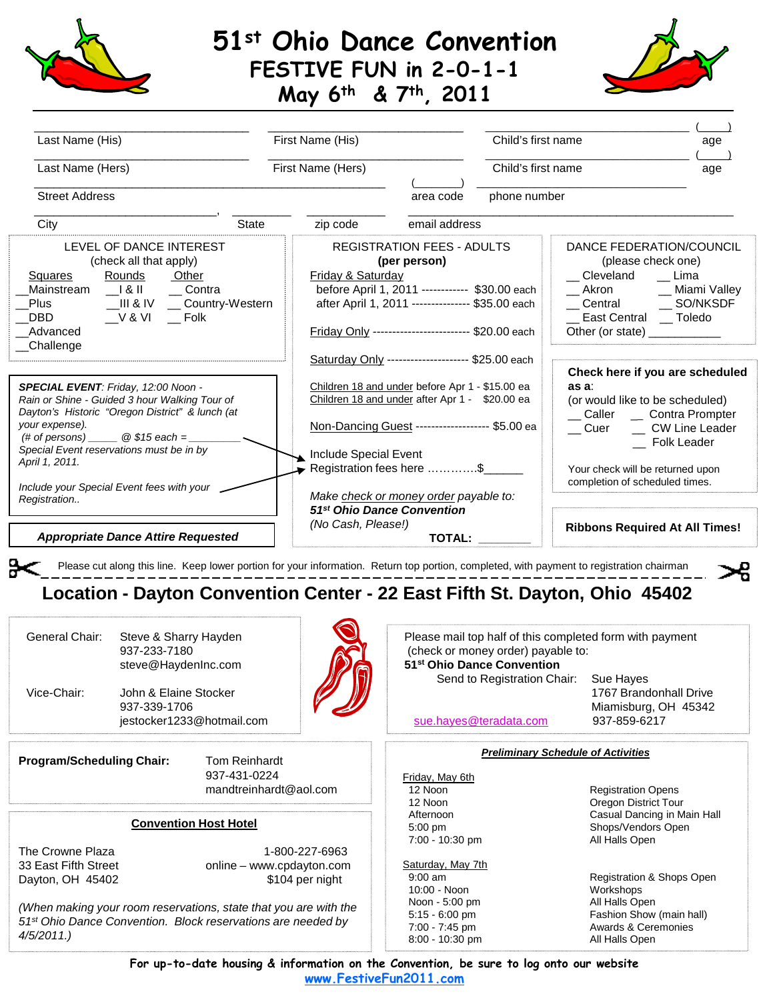

## **51st Ohio Dance Convention FESTIVE FUN in 2-0-1-1**





| Last Name (His)<br>Last Name (Hers)<br><b>Street Address</b>                                                                                                                                                          | First Name (His)<br>First Name (Hers) | Child's first name<br>Child's first name<br>phone number<br>area code                                                                                                                                                                                 | age<br>age                                                                                                                          |  |
|-----------------------------------------------------------------------------------------------------------------------------------------------------------------------------------------------------------------------|---------------------------------------|-------------------------------------------------------------------------------------------------------------------------------------------------------------------------------------------------------------------------------------------------------|-------------------------------------------------------------------------------------------------------------------------------------|--|
| City<br><b>State</b>                                                                                                                                                                                                  | zip code                              | email address                                                                                                                                                                                                                                         |                                                                                                                                     |  |
| LEVEL OF DANCE INTEREST<br>(check all that apply)<br>Rounds<br>Squares<br>Other<br>Mainstream I & II Contra<br>__V & VI ___ Folk<br>DBD<br>Advanced<br>Challenge                                                      | Friday & Saturday                     | <b>REGISTRATION FEES - ADULTS</b><br>(per person)<br>Cleveland<br>before April 1, 2011 ----------- \$30.00 each<br>Akron<br>after April 1, 2011 --------------- \$35.00 each<br>Friday Only ------------------------ \$20.00 each<br>Other (or state) | DANCE FEDERATION/COUNCIL<br>(please check one)<br>Lima<br>__ Miami Valley<br>East Central __ Toledo                                 |  |
|                                                                                                                                                                                                                       |                                       | Saturday Only -------------------- \$25.00 each                                                                                                                                                                                                       |                                                                                                                                     |  |
| SPECIAL EVENT: Friday, 12:00 Noon -<br>Rain or Shine - Guided 3 hour Walking Tour of<br>Dayton's Historic "Oregon District" & lunch (at<br>your expense).<br>(# of persons) $\qquad \qquad \textcircled{4.15 each} =$ |                                       | Children 18 and under before Apr 1 - \$15.00 ea<br>as a.<br>Children 18 and under after Apr 1 - \$20.00 ea<br>Non-Dancing Guest ------------------ \$5.00 ea<br>Cuer                                                                                  | Check here if you are scheduled<br>(or would like to be scheduled)<br>__ Caller __ Contra Prompter<br>CW Line Leader<br>Folk Leader |  |
| Special Event reservations must be in by<br>April 1, 2011.<br>Include your Special Event fees with your                                                                                                               | Include Special Event                 | Registration fees here \$                                                                                                                                                                                                                             | Your check will be returned upon<br>completion of scheduled times.                                                                  |  |
| Registration                                                                                                                                                                                                          |                                       | Make check or money order payable to:                                                                                                                                                                                                                 |                                                                                                                                     |  |
| <b>Appropriate Dance Attire Requested</b>                                                                                                                                                                             | (No Cash, Please!)                    | 51 <sup>st</sup> Ohio Dance Convention<br><b>TOTAL:</b>                                                                                                                                                                                               | <b>Ribbons Required At All Times!</b>                                                                                               |  |

Please cut along this line. Keep lower portion for your information. Return top portion, completed, with payment to registration chairman

## **Location - Dayton Convention Center - 22 East Fifth St. Dayton, Ohio 45402**

| General Chair: | Steve & Sharry Hayden<br>937-233-7180<br>steve@HaydenInc.com       |  |
|----------------|--------------------------------------------------------------------|--|
| Vice-Chair:    | John & Elaine Stocker<br>937-339-1706<br>jestocker1233@hotmail.com |  |
|                |                                                                    |  |

**Program/Scheduling Chair:** Tom Reinhardt

Please mail top half of this completed form with payment (check or money order) payable to: **51st Ohio Dance Convention**

Send to Registration Chair: Sue Hayes

1767 Brandonhall Drive Miamisburg, OH 45342

[sue.hayes@teradata.com](mailto:sue.hayes@teradata.com) 937-859-6217

## *Preliminary Schedule of Activities*

Friday, May 6th<br>12 Noon 7:00 - 10:30 pm

Saturday, May 7th<br>9:00 am 10:00 - Noon **Marketter State State State Workshops**<br>
Noon - 5:00 pm **Marketter State State All Halls Open** Noon - 5:00 pm

**Registration Opens** 12 Noon **Oregon District Tour** Afternoon Casual Dancing in Main Hall<br>5:00 pm<br>Shops/Vendors Open Shops/Vendors Open<br>All Halls Open

Registration & Shops Open<br>Workshops 5:15 - 6:00 pm Fashion Show (main hall) 7:00 - 7:45 pm Awards & Ceremonies 8:00 - 10:30 pm All Halls Open

Dayton, OH 45402

The Crowne Plaza 1-800-227-6963 33 East Fifth Street **online – www.cpdayton.com**<br>Dayton, OH 45402 **6104** per night

mandtreinhardt@aol.com

937-431-0224

*(When making your room reservations, state that you are with the 51st Ohio Dance Convention. Block reservations are needed by 4/5/2011.)*

**Convention Host Hotel**

**For up-to-date housing & information on the Convention, be sure to log onto our website www.FestiveFun2011.com**